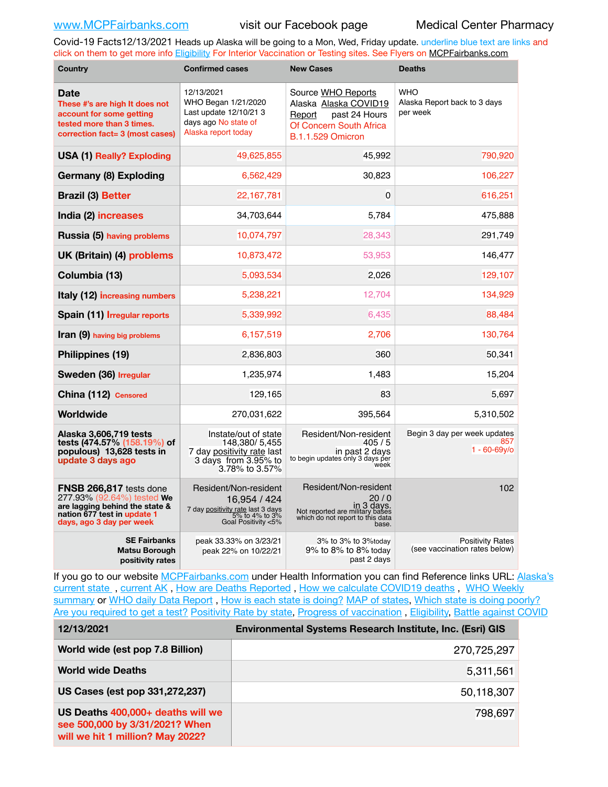Covid-19 Facts12/13/2021 Heads up Alaska will be going to a Mon, Wed, Friday update. underline blue text are links and click on them to get more info [Eligibility](http://dhss.alaska.gov/dph/Epi/id/Pages/COVID-19/VaccineAvailability.aspx) For Interior Vaccination or Testing sites. See Flyers on [MCPFairbanks.com](http://www.MCPFairbanks.com)

| Country                                                                                                                                            | <b>Confirmed cases</b>                                                                                              | <b>New Cases</b>                                                                                                              | <b>Deaths</b>                                            |  |  |
|----------------------------------------------------------------------------------------------------------------------------------------------------|---------------------------------------------------------------------------------------------------------------------|-------------------------------------------------------------------------------------------------------------------------------|----------------------------------------------------------|--|--|
| Date<br>These #'s are high It does not<br>account for some getting<br>tested more than 3 times.<br>correction fact= 3 (most cases)                 | 12/13/2021<br>WHO Began 1/21/2020<br>Last update 12/10/21 3<br>days ago No state of<br>Alaska report today          | Source WHO Reports<br>Alaska Alaska COVID19<br>past 24 Hours<br>Report<br>Of Concern South Africa<br><b>B.1.1.529 Omicron</b> | <b>WHO</b><br>Alaska Report back to 3 days<br>per week   |  |  |
| <b>USA (1) Really? Exploding</b>                                                                                                                   | 49,625,855                                                                                                          | 45,992                                                                                                                        | 790,920                                                  |  |  |
| Germany (8) Exploding                                                                                                                              | 6,562,429                                                                                                           | 30,823                                                                                                                        | 106,227                                                  |  |  |
| <b>Brazil (3) Better</b>                                                                                                                           | 22,167,781                                                                                                          | $\mathbf 0$                                                                                                                   | 616,251                                                  |  |  |
| India (2) increases                                                                                                                                | 34,703,644                                                                                                          | 5,784                                                                                                                         | 475,888                                                  |  |  |
| Russia (5) having problems                                                                                                                         | 10,074,797                                                                                                          | 28,343                                                                                                                        | 291,749                                                  |  |  |
| UK (Britain) (4) problems                                                                                                                          | 10,873,472                                                                                                          | 53,953                                                                                                                        | 146,477                                                  |  |  |
| Columbia (13)                                                                                                                                      | 5,093,534                                                                                                           | 2,026                                                                                                                         | 129,107                                                  |  |  |
| Italy (12) increasing numbers                                                                                                                      | 5,238,221                                                                                                           | 12,704                                                                                                                        | 134,929                                                  |  |  |
| Spain (11) Irregular reports                                                                                                                       | 5,339,992                                                                                                           | 6,435                                                                                                                         | 88,484                                                   |  |  |
| <b>Iran (9)</b> having big problems                                                                                                                | 6,157,519                                                                                                           | 2,706                                                                                                                         | 130,764                                                  |  |  |
| Philippines (19)                                                                                                                                   | 2,836,803                                                                                                           | 360                                                                                                                           | 50,341                                                   |  |  |
| Sweden (36) Irregular                                                                                                                              | 1,235,974                                                                                                           | 1,483                                                                                                                         | 15,204                                                   |  |  |
| China (112) Censored                                                                                                                               | 129,165                                                                                                             | 83                                                                                                                            | 5,697                                                    |  |  |
| Worldwide                                                                                                                                          | 270,031,622                                                                                                         | 395,564                                                                                                                       | 5,310,502                                                |  |  |
| Alaska 3,606,719 tests<br>tests (474.57% (158.19%) of<br>populous) 13,628 tests in<br>update 3 days ago                                            | Instate/out of state<br>148.380/5.455<br>7 day positivity rate last<br>3 days from 3.95% to<br>3.78% to 3.57%       | Resident/Non-resident<br>405/5<br>in past 2 days<br>to begin updates only 3 days per<br>week                                  | Begin 3 day per week updates<br>857<br>$1 - 60 - 69y$ o  |  |  |
| FNSB 266,817 tests done<br>277.93% (92.64%) tested We<br>are lagging behind the state &<br>nation 677 test in update 1<br>days, ago 3 day per week | Resident/Non-resident<br>16,954 / 424<br>7 day positivity rate last 3 days<br>5% to 4% to 3%<br>6oal Positivity <5% | Resident/Non-resident<br>20/0<br>in 3 days.<br>Not reported are military bases<br>which do not report to this data<br>base.   | 102                                                      |  |  |
| <b>SE Fairbanks</b><br>Matsu Borough<br>positivity rates                                                                                           | peak 33.33% on 3/23/21<br>peak 22% on 10/22/21                                                                      | 3% to 3% to 3%today<br>9% to 8% to 8% today<br>past 2 days                                                                    | <b>Positivity Rates</b><br>(see vaccination rates below) |  |  |

If you go to our website [MCPFairbanks.com](http://www.MCPFairbanks.com) under Health Information you can find Reference links URL: Alaska's [current state](https://coronavirus-response-alaska-dhss.hub.arcgis.com) , [current AK](http://dhss.alaska.gov/dph/Epi/id/Pages/COVID-19/communications.aspx#cases) , [How are Deaths Reported](http://dhss.alaska.gov/dph/Epi/id/Pages/COVID-19/deathcounts.aspx) , [How we calculate COVID19 deaths](https://coronavirus-response-alaska-dhss.hub.arcgis.com/search?collection=Document&groupIds=41ccb3344ebc4bd682c74073eba21f42) , [WHO Weekly](http://www.who.int)  [summary](http://www.who.int) or [WHO daily Data Report](https://covid19.who.int/table), [How is each state is doing?](https://www.msn.com/en-us/news/us/state-by-state-coronavirus-news/ar-BB13E1PX?fbclid=IwAR0_OBJH7lSyTN3ug_MsOeFnNgB1orTa9OBgilKJ7dhnwlVvHEsptuKkj1c) [MAP of states,](https://www.nationalgeographic.com/science/graphics/graphic-tracking-coronavirus-infections-us?cmpid=org=ngp::mc=crm-email::src=ngp::cmp=editorial::add=SpecialEdition_20210305&rid=B9A6DF5992658E8E35CE023113CFEA4C) [Which state is doing poorly?](https://bestlifeonline.com/covid-outbreak-your-state/?utm_source=nsltr&utm_medium=email&utm_content=covid-outbreak-your-state&utm_campaign=launch) [Are you required to get a test?](http://dhss.alaska.gov/dph/Epi/id/SiteAssets/Pages/HumanCoV/Whattodoafteryourtest.pdf) [Positivity Rate by state](https://coronavirus.jhu.edu/testing/individual-states/alaska), Progress of vaccination, [Eligibility,](http://dhss.alaska.gov/dph/Epi/id/Pages/COVID-19/VaccineAvailability.aspx) [Battle against COVID](https://www.nationalgeographic.com/science/graphics/graphic-tracking-coronavirus-infections-us?cmpid=org=ngp::mc=crm-email::src=ngp::cmp=editorial::add=SpecialEdition_20210219&rid=B9A6DF5992658E8E35CE023113CFEA4C)

| 12/13/2021                                                                                              | Environmental Systems Research Institute, Inc. (Esri) GIS |
|---------------------------------------------------------------------------------------------------------|-----------------------------------------------------------|
| World wide (est pop 7.8 Billion)                                                                        | 270,725,297                                               |
| <b>World wide Deaths</b>                                                                                | 5,311,561                                                 |
| US Cases (est pop 331,272,237)                                                                          | 50,118,307                                                |
| US Deaths 400,000+ deaths will we<br>see 500,000 by 3/31/2021? When<br>will we hit 1 million? May 2022? | 798,697                                                   |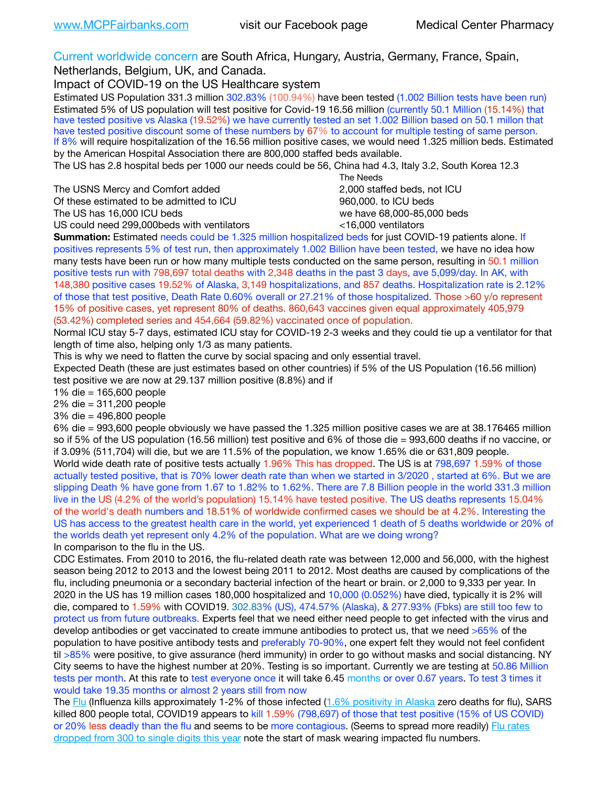Current worldwide concern are South Africa, Hungary, Austria, Germany, France, Spain,

Netherlands, Belgium, UK, and Canada.

Impact of COVID-19 on the US Healthcare system

Estimated US Population 331.3 million 302.83% (100.94%) have been tested (1.002 Billion tests have been run) Estimated 5% of US population will test positive for Covid-19 16.56 million (currently 50.1 Million (15.14%) that have tested positive vs Alaska (19.52%) we have currently tested an set 1.002 Billion based on 50.1 millon that have tested positive discount some of these numbers by 67% to account for multiple testing of same person. If 8% will require hospitalization of the 16.56 million positive cases, we would need 1.325 million beds. Estimated by the American Hospital Association there are 800,000 staffed beds available.

The US has 2.8 hospital beds per 1000 our needs could be 56, China had 4.3, Italy 3.2, South Korea 12.3

The USNS Mercy and Comfort added 2,000 staffed beds, not ICU Of these estimated to be admitted to ICU 860,000. to ICU beds The US has 16,000 ICU beds we have 68,000-85,000 beds ve have 68,000-85,000 beds US could need 299,000 beds with ventilators  $\leq 16,000$  ventilators

 The Needs

**Summation:** Estimated needs could be 1.325 million hospitalized beds for just COVID-19 patients alone. If positives represents 5% of test run, then approximately 1.002 Billion have been tested, we have no idea how many tests have been run or how many multiple tests conducted on the same person, resulting in 50.1 million positive tests run with 798,697 total deaths with 2,348 deaths in the past 3 days, ave 5,099/day. In AK, with 148,380 positive cases 19.52% of Alaska, 3,149 hospitalizations, and 857 deaths. Hospitalization rate is 2.12% of those that test positive, Death Rate 0.60% overall or 27.21% of those hospitalized. Those >60 y/o represent 15% of positive cases, yet represent 80% of deaths. 860,643 vaccines given equal approximately 405,979 (53.42%) completed series and 454,664 (59.82%) vaccinated once of population.

Normal ICU stay 5-7 days, estimated ICU stay for COVID-19 2-3 weeks and they could tie up a ventilator for that length of time also, helping only 1/3 as many patients.

This is why we need to flatten the curve by social spacing and only essential travel.

Expected Death (these are just estimates based on other countries) if 5% of the US Population (16.56 million) test positive we are now at 29.137 million positive (8.8%) and if

1% die = 165,600 people

2% die = 311,200 people

3% die = 496,800 people

6% die = 993,600 people obviously we have passed the 1.325 million positive cases we are at 38.176465 million so if 5% of the US population (16.56 million) test positive and 6% of those die = 993,600 deaths if no vaccine, or if 3.09% (511,704) will die, but we are 11.5% of the population, we know 1.65% die or 631,809 people. World wide death rate of positive tests actually 1.96% This has dropped. The US is at 798,697 1.59% of those actually tested positive, that is 70% lower death rate than when we started in 3/2020 , started at 6%. But we are slipping Death % have gone from 1.67 to 1.82% to 1.62%. There are 7.8 Billion people in the world 331.3 million live in the US (4.2% of the world's population) 15.14% have tested positive. The US deaths represents 15.04% of the world's death numbers and 18.51% of worldwide confirmed cases we should be at 4.2%. Interesting the US has access to the greatest health care in the world, yet experienced 1 death of 5 deaths worldwide or 20% of the worlds death yet represent only 4.2% of the population. What are we doing wrong? In comparison to the flu in the US.

CDC Estimates. From 2010 to 2016, the flu-related death rate was between 12,000 and 56,000, with the highest season being 2012 to 2013 and the lowest being 2011 to 2012. Most deaths are caused by complications of the flu, including pneumonia or a secondary bacterial infection of the heart or brain. or 2,000 to 9,333 per year. In 2020 in the US has 19 million cases 180,000 hospitalized and 10,000 (0.052%) have died, typically it is 2% will die, compared to 1.59% with COVID19. 302.83% (US), 474.57% (Alaska), & 277.93% (Fbks) are still too few to protect us from future outbreaks. Experts feel that we need either need people to get infected with the virus and develop antibodies or get vaccinated to create immune antibodies to protect us, that we need >65% of the population to have positive antibody tests and preferably 70-90%, one expert felt they would not feel confident til >85% were positive, to give assurance (herd immunity) in order to go without masks and social distancing. NY City seems to have the highest number at 20%. Testing is so important. Currently we are testing at 50.86 Million tests per month. At this rate to test everyone once it will take 6.45 months or over 0.67 years. To test 3 times it would take 19.35 months or almost 2 years still from now

The [Flu](https://lnks.gd/l/eyJhbGciOiJIUzI1NiJ9.eyJidWxsZXRpbl9saW5rX2lkIjoxMDMsInVyaSI6ImJwMjpjbGljayIsImJ1bGxldGluX2lkIjoiMjAyMTAyMjYuMzYwNDA3NTEiLCJ1cmwiOiJodHRwczovL3d3dy5jZGMuZ292L2ZsdS93ZWVrbHkvb3ZlcnZpZXcuaHRtIn0.ePMA_hsZ-pTnhWSyg1gHvHWYTu2XceVOt0JejxvP1WE/s/500544915/br/98428119752-l) (Influenza kills approximately 1-2% of those infected ([1.6% positivity in Alaska](http://dhss.alaska.gov/dph/Epi/id/SiteAssets/Pages/influenza/trends/Snapshot.pdf) zero deaths for flu), SARS killed 800 people total, COVID19 appears to kill 1.59% (798,697) of those that test positive (15% of US COVID) or 20% less deadly than the flu and seems to be more contagious. (Seems to spread more readily) [Flu rates](https://lnks.gd/l/eyJhbGciOiJIUzI1NiJ9.eyJidWxsZXRpbl9saW5rX2lkIjoxMDEsInVyaSI6ImJwMjpjbGljayIsImJ1bGxldGluX2lkIjoiMjAyMTAyMjYuMzYwNDA3NTEiLCJ1cmwiOiJodHRwOi8vZGhzcy5hbGFza2EuZ292L2RwaC9FcGkvaWQvUGFnZXMvaW5mbHVlbnphL2ZsdWluZm8uYXNweCJ9.oOe3nt2fww6XpsNhb4FZfmtPfPa-irGaldpkURBJhSo/s/500544915/br/98428119752-l)  [dropped from 300 to single digits this year](https://lnks.gd/l/eyJhbGciOiJIUzI1NiJ9.eyJidWxsZXRpbl9saW5rX2lkIjoxMDEsInVyaSI6ImJwMjpjbGljayIsImJ1bGxldGluX2lkIjoiMjAyMTAyMjYuMzYwNDA3NTEiLCJ1cmwiOiJodHRwOi8vZGhzcy5hbGFza2EuZ292L2RwaC9FcGkvaWQvUGFnZXMvaW5mbHVlbnphL2ZsdWluZm8uYXNweCJ9.oOe3nt2fww6XpsNhb4FZfmtPfPa-irGaldpkURBJhSo/s/500544915/br/98428119752-l) note the start of mask wearing impacted flu numbers.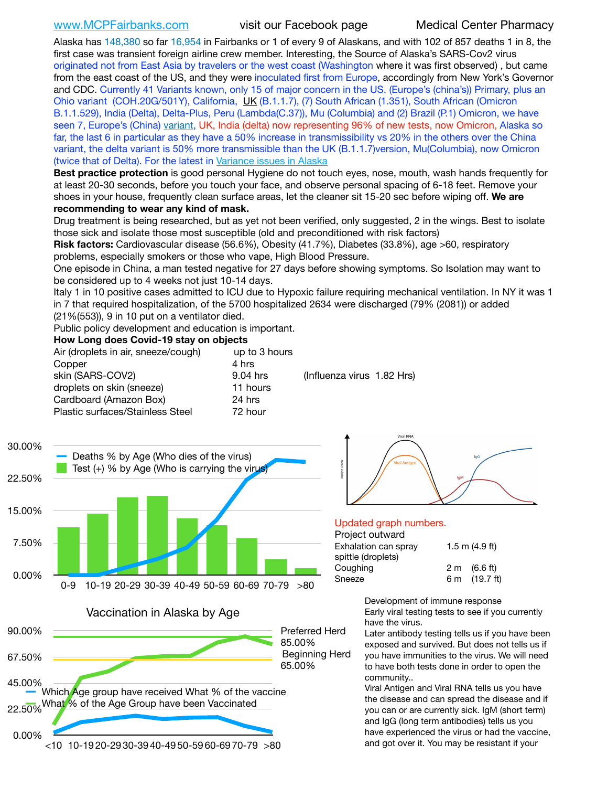[www.MCPFairbanks.com](http://www.MCPFairbanks.com) visit our Facebook page Medical Center Pharmacy

Alaska has 148,380 so far 16,954 in Fairbanks or 1 of every 9 of Alaskans, and with 102 of 857 deaths 1 in 8, the first case was transient foreign airline crew member. Interesting, the Source of Alaska's SARS-Cov2 virus originated not from East Asia by travelers or the west coast (Washington where it was first observed) , but came from the east coast of the US, and they were inoculated first from Europe, accordingly from New York's Governor and CDC. Currently 41 Variants known, only 15 of major concern in the US. (Europe's (china's)) Primary, plus an Ohio variant (COH.20G/501Y), California, [UK](https://www.cdc.gov/coronavirus/2019-ncov/transmission/variant-cases.html) (B.1.1.7), (7) South African (1.351), South African (Omicron B.1.1.529), India (Delta), Delta-Plus, Peru (Lambda(C.37)), Mu (Columbia) and (2) Brazil (P.1) Omicron, we have seen 7, Europe's (China) [variant,](https://www.webmd.com/lung/news/20210318/cdc-who-create-threat-levels-for-covid-variants?ecd=wnl_cvd_031921&ctr=wnl-cvd-031921&mb=kYbf7DsHb7YGjh/1RUkcAW0T6iorImAU1TDZh18RYs0=_Support_titleLink_2) UK, India (delta) now representing 96% of new tests, now Omicron, Alaska so far, the last 6 in particular as they have a 50% increase in transmissibility vs 20% in the others over the China variant, the delta variant is 50% more transmissible than the UK (B.1.1.7)version, Mu(Columbia), now Omicron (twice that of Delta). For the latest in [Variance issues in Alaska](https://akvariants.github.io)

**Best practice protection** is good personal Hygiene do not touch eyes, nose, mouth, wash hands frequently for at least 20-30 seconds, before you touch your face, and observe personal spacing of 6-18 feet. Remove your shoes in your house, frequently clean surface areas, let the cleaner sit 15-20 sec before wiping off. **We are recommending to wear any kind of mask.**

Drug treatment is being researched, but as yet not been verified, only suggested, 2 in the wings. Best to isolate those sick and isolate those most susceptible (old and preconditioned with risk factors)

**Risk factors:** Cardiovascular disease (56.6%), Obesity (41.7%), Diabetes (33.8%), age >60, respiratory problems, especially smokers or those who vape, High Blood Pressure.

One episode in China, a man tested negative for 27 days before showing symptoms. So Isolation may want to be considered up to 4 weeks not just 10-14 days.

Italy 1 in 10 positive cases admitted to ICU due to Hypoxic failure requiring mechanical ventilation. In NY it was 1 in 7 that required hospitalization, of the 5700 hospitalized 2634 were discharged (79% (2081)) or added (21%(553)), 9 in 10 put on a ventilator died.

Public policy development and education is important.

### **How Long does Covid-19 stay on objects**

| Air (droplets in air, sneeze/cough)<br>Copper | up to 3 hours<br>4 hrs |                            |  |
|-----------------------------------------------|------------------------|----------------------------|--|
| skin (SARS-COV2)                              | 9.04 hrs               | (Influenza virus 1.82 Hrs) |  |
| droplets on skin (sneeze)                     | 11 hours               |                            |  |
| Cardboard (Amazon Box)                        | 24 hrs                 |                            |  |
| Plastic surfaces/Stainless Steel              | 72 hour                |                            |  |



Vaccination in Alaska by Age





### Updated graph numbers.

### Project outward

| i ivitut vutwaiu     |                        |  |  |  |
|----------------------|------------------------|--|--|--|
| Exhalation can spray | $1.5$ m $(4.9$ ft)     |  |  |  |
| spittle (droplets)   |                        |  |  |  |
| Coughing             | $2 \text{ m}$ (6.6 ft) |  |  |  |
| Sneeze               | 6 m (19.7 ft)          |  |  |  |
|                      |                        |  |  |  |

Development of immune response Early viral testing tests to see if you currently have the virus.

Later antibody testing tells us if you have been exposed and survived. But does not tells us if you have immunities to the virus. We will need to have both tests done in order to open the community..

Viral Antigen and Viral RNA tells us you have the disease and can spread the disease and if you can or are currently sick. IgM (short term) and IgG (long term antibodies) tells us you have experienced the virus or had the vaccine, and got over it. You may be resistant if your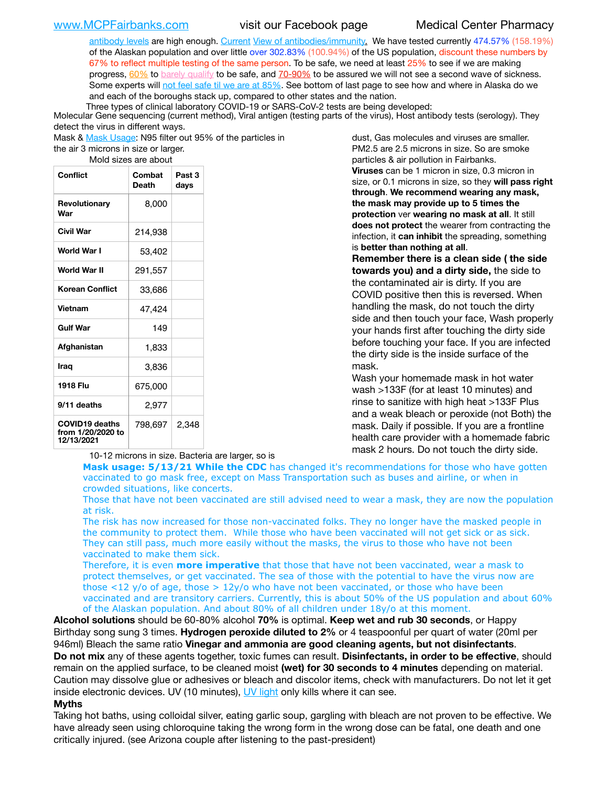[antibody levels](https://www.cdc.gov/coronavirus/2019-ncov/lab/resources/antibody-tests.html) are high enough. [Current](https://l.facebook.com/l.php?u=https://www.itv.com/news/2020-10-26/covid-19-antibody-levels-reduce-over-time-study-finds?fbclid=IwAR3Dapzh1qIH1EIOdUQI2y8THf7jfA4KBCaJz8Qg-8xe1YsrR4nsAHDIXSY&h=AT30nut8pkqp0heVuz5W2rT2WFFm-2Ab52BsJxZZCNlGsX58IpPkuVEPULbIUV_M16MAukx1Kwb657DPXxsgDN1rpOQ4gqBtQsmVYiWpnHPJo2RQsU6CPMd14lgLnQnFWxfVi6zvmw&__tn__=-UK-R&c%5B0%5D=AT1GaRAfR_nGAyqcn7TI1-PpvqOqEKXHnz6TDWvRStMnOSH7boQDvTiwTOc6VId9UES6LKiOmm2m88wKCoolkJyOFvakt2Z1Mw8toYWGGoWW23r0MNVBl7cYJXB_UOvGklNHaNnaNr1_S7NhT3BSykNOBg) [View of antibodies/immunity](https://www.livescience.com/antibodies.html)[.](https://www.itv.com/news/2020-10-26/covid-19-antibody-levels-reduce-over-time-study-finds) We have tested currently 474.57% (158.19%) of the Alaskan population and over little over 302.83% (100.94%) of the US population, discount these numbers by 67% to reflect multiple testing of the same person. To be safe, we need at least 25% to see if we are making progress, [60%](https://www.jhsph.edu/covid-19/articles/achieving-herd-immunity-with-covid19.html) to [barely qualify](https://www.nature.com/articles/d41586-020-02948-4) to be safe, and [70-90%](https://www.mayoclinic.org/herd-immunity-and-coronavirus/art-20486808) to be assured we will not see a second wave of sickness. Some experts will [not feel safe til we are at 85%](https://www.bannerhealth.com/healthcareblog/teach-me/what-is-herd-immunity). See bottom of last page to see how and where in Alaska do we and each of the boroughs stack up, compared to other states and the nation.

Three types of clinical laboratory COVID-19 or SARS-CoV-2 tests are being developed:

Molecular Gene sequencing (current method), Viral antigen (testing parts of the virus), Host antibody tests (serology). They detect the virus in different ways.

Mask & [Mask Usage:](https://www.nationalgeographic.com/history/2020/03/how-cities-flattened-curve-1918-spanish-flu-pandemic-coronavirus/) N95 filter out 95% of the particles in

the air 3 microns in size or larger. Mold sizes are about

| <b>Conflict</b>                                          | Combat<br><b>Death</b> | Past 3<br>days |  |  |
|----------------------------------------------------------|------------------------|----------------|--|--|
| Revolutionary<br>War                                     | 8,000                  |                |  |  |
| Civil War                                                | 214,938                |                |  |  |
| World War I                                              | 53,402                 |                |  |  |
| World War II                                             | 291,557                |                |  |  |
| Korean Conflict                                          | 33,686                 |                |  |  |
| Vietnam                                                  | 47,424                 |                |  |  |
| <b>Gulf War</b>                                          | 149                    |                |  |  |
| Afghanistan                                              | 1,833                  |                |  |  |
| Iraq                                                     | 3,836                  |                |  |  |
| 1918 Flu                                                 | 675,000                |                |  |  |
| 9/11 deaths                                              | 2,977                  |                |  |  |
| <b>COVID19 deaths</b><br>from 1/20/2020 to<br>12/13/2021 | 798,697                | 2,348          |  |  |

10-12 microns in size. Bacteria are larger, so is

dust, Gas molecules and viruses are smaller. PM2.5 are 2.5 microns in size. So are smoke particles & air pollution in Fairbanks. **Viruses** can be 1 micron in size, 0.3 micron in size, or 0.1 microns in size, so they **will pass right through**. **We recommend wearing any mask, the mask may provide up to 5 times the protection** ver **wearing no mask at all**. It still **does not protect** the wearer from contracting the infection, it **can inhibit** the spreading, something is **better than nothing at all**.

**Remember there is a clean side ( the side towards you) and a dirty side,** the side to the contaminated air is dirty. If you are COVID positive then this is reversed. When handling the mask, do not touch the dirty side and then touch your face, Wash properly your hands first after touching the dirty side before touching your face. If you are infected the dirty side is the inside surface of the mask.

Wash your homemade mask in hot water wash >133F (for at least 10 minutes) and rinse to sanitize with high heat >133F Plus and a weak bleach or peroxide (not Both) the mask. Daily if possible. If you are a frontline health care provider with a homemade fabric mask 2 hours. Do not touch the dirty side.

**Mask usage: 5/13/21 While the CDC** has changed it's recommendations for those who have gotten vaccinated to go mask free, except on Mass Transportation such as buses and airline, or when in crowded situations, like concerts.

Those that have not been vaccinated are still advised need to wear a mask, they are now the population at risk.

The risk has now increased for those non-vaccinated folks. They no longer have the masked people in the community to protect them. While those who have been vaccinated will not get sick or as sick. They can still pass, much more easily without the masks, the virus to those who have not been vaccinated to make them sick.

Therefore, it is even **more imperative** that those that have not been vaccinated, wear a mask to protect themselves, or get vaccinated. The sea of those with the potential to have the virus now are those <12 y/o of age, those >  $12y$ /o who have not been vaccinated, or those who have been vaccinated and are transitory carriers. Currently, this is about 50% of the US population and about 60% of the Alaskan population. And about 80% of all children under 18y/o at this moment.

**Alcohol solutions** should be 60-80% alcohol **70%** is optimal. **Keep wet and rub 30 seconds**, or Happy Birthday song sung 3 times. **Hydrogen peroxide diluted to 2%** or 4 teaspoonful per quart of water (20ml per 946ml) Bleach the same ratio **Vinegar and ammonia are good cleaning agents, but not disinfectants**. **Do not mix** any of these agents together, toxic fumes can result. **Disinfectants, in order to be effective**, should remain on the applied surface, to be cleaned moist **(wet) for 30 seconds to 4 minutes** depending on material. Caution may dissolve glue or adhesives or bleach and discolor items, check with manufacturers. Do not let it get inside electronic devices. UV (10 minutes), [UV light](http://www.docreviews.me/best-uv-boxes-2020/?fbclid=IwAR3bvFtXB48OoBBSvYvTEnKuHNPbipxM6jUo82QUSw9wckxjC7wwRZWabGw) only kills where it can see.

### **Myths**

Taking hot baths, using colloidal silver, eating garlic soup, gargling with bleach are not proven to be effective. We have already seen using chloroquine taking the wrong form in the wrong dose can be fatal, one death and one critically injured. (see Arizona couple after listening to the past-president)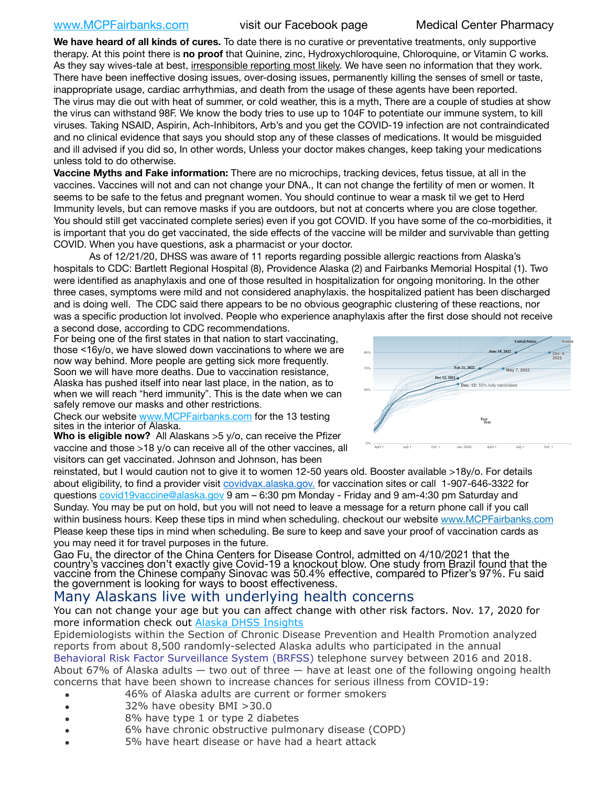# [www.MCPFairbanks.com](http://www.MCPFairbanks.com) visit our Facebook page Medical Center Pharmacy

**We have heard of all kinds of cures.** To date there is no curative or preventative treatments, only supportive therapy. At this point there is **no proof** that Quinine, zinc, Hydroxychloroquine, Chloroquine, or Vitamin C works. As they say wives-tale at best, irresponsible reporting most likely. We have seen no information that they work. There have been ineffective dosing issues, over-dosing issues, permanently killing the senses of smell or taste, inappropriate usage, cardiac arrhythmias, and death from the usage of these agents have been reported. The virus may die out with heat of summer, or cold weather, this is a myth, There are a couple of studies at show the virus can withstand 98F. We know the body tries to use up to 104F to potentiate our immune system, to kill viruses. Taking NSAID, Aspirin, Ach-Inhibitors, Arb's and you get the COVID-19 infection are not contraindicated and no clinical evidence that says you should stop any of these classes of medications. It would be misguided and ill advised if you did so, In other words, Unless your doctor makes changes, keep taking your medications unless told to do otherwise.

**Vaccine Myths and Fake information:** There are no microchips, tracking devices, fetus tissue, at all in the vaccines. Vaccines will not and can not change your DNA., It can not change the fertility of men or women. It seems to be safe to the fetus and pregnant women. You should continue to wear a mask til we get to Herd Immunity levels, but can remove masks if you are outdoors, but not at concerts where you are close together. You should still get vaccinated complete series) even if you got COVID. If you have some of the co-morbidities, it is important that you do get vaccinated, the side effects of the vaccine will be milder and survivable than getting COVID. When you have questions, ask a pharmacist or your doctor.

As of 12/21/20, DHSS was aware of 11 reports regarding possible allergic reactions from Alaska's hospitals to CDC: Bartlett Regional Hospital (8), Providence Alaska (2) and Fairbanks Memorial Hospital (1). Two were identified as anaphylaxis and one of those resulted in hospitalization for ongoing monitoring. In the other three cases, symptoms were mild and not considered anaphylaxis. the hospitalized patient has been discharged three cases, symptoms were mild and not considered anaphylaxis. the hospitalized patient has been discharged and is doing well. The CDC said there appears to be no obvious geographic clustering of these reactions, nor *Projections are based on each state's current rate of vaccination.* was a specific production lot involved. People who experience anaphylaxis after the first dose should not receive a second dose, according to CDC recommendations.

For being one of the first states in that nation to start vaccinating, those <16y/o, we have slowed down vaccinations to where we are now way behind. More people are getting sick more frequently. Soon we will have more deaths. Due to vaccination resistance, Alaska has pushed itself into near last place, in the nation, as to when we will reach "herd immunity". This is the date when we can safely remove our masks and other restrictions.

Check our website [www.MCPFairbanks.com](http://www.MCPFairbanks.com) for the 13 testing sites in the interior of Alaska.

**Who is eligible now?** All Alaskans >5 y/o, can receive the Pfizer vaccine and those >18 y/o can receive all of the other vaccines, all visitors can get vaccinated. Johnson and Johnson, has been



reinstated, but I would caution not to give it to women 12-50 years old. Booster available >18y/o. For details about eligibility, to find a provider visit [covidvax.alaska.gov.](https://lnks.gd/l/eyJhbGciOiJIUzI1NiJ9.eyJidWxsZXRpbl9saW5rX2lkIjoxMDYsInVyaSI6ImJwMjpjbGljayIsImJ1bGxldGluX2lkIjoiMjAyMTAxMjguMzQwODU3NjEiLCJ1cmwiOiJodHRwOi8vZGhzcy5hbGFza2EuZ292L2RwaC9FcGkvaWQvUGFnZXMvQ09WSUQtMTkvdmFjY2luZS5hc3B4In0.-Xwhl42jAWOMS7ewfS85uxwrwjohCso3Sb81DuDKtxU/s/500544915/br/93796640171-l) for vaccination sites or call 1-907-646-3322 for questions [covid19vaccine@alaska.gov](mailto:covid19vaccine@alaska.gov?subject=COVID19%20Vaccine%20questions) 9 am – 6:30 pm Monday - Friday and 9 am-4:30 pm Saturday and Sunday. You may be put on hold, but you will not need to leave a message for a return phone call if you call within business hours. Keep these tips in mind when scheduling. checkout our website [www.MCPFairbanks.com](http://www.MCPFairbanks.com) Please keep these tips in mind when scheduling. Be sure to keep and save your proof of vaccination cards as you may need it for travel purposes in the future.

Gao Fu, the director of the China Centers for Disease Control, admitted on 4/10/2021 that the country's vaccines don't exactly give Covid-19 a knockout blow. One study from Brazil found that the vaccine from the Chinese company Sinovac was 50.4% effective, compared to Pfizer's 97%. Fu said the government is looking for ways to boost effectiveness.

# Many Alaskans live with underlying health concerns

You can not change your age but you can affect change with other risk factors. Nov. 17, 2020 for more information check out **[Alaska DHSS Insights](http://dhss.alaska.gov/dph/Epi/id/Pages/COVID-19/blog/20201117.aspx)** 

Epidemiologists within the Section of Chronic Disease Prevention and Health Promotion analyzed reports from about 8,500 randomly-selected Alaska adults who participated in the annual [Behavioral Risk Factor Surveillance System \(BRFSS\)](http://dhss.alaska.gov/dph/Chronic/Pages/brfss/default.aspx) telephone survey between 2016 and 2018. About 67% of Alaska adults — two out of three — have at least one of the following ongoing health concerns that have been shown to increase chances for serious illness from COVID-19:

- 46% of Alaska adults are current or former smokers
- 32% have obesity BMI >30.0
- 8% have type 1 or type 2 diabetes
- 6% have chronic obstructive pulmonary disease (COPD)
- 5% have heart disease or have had a heart attack